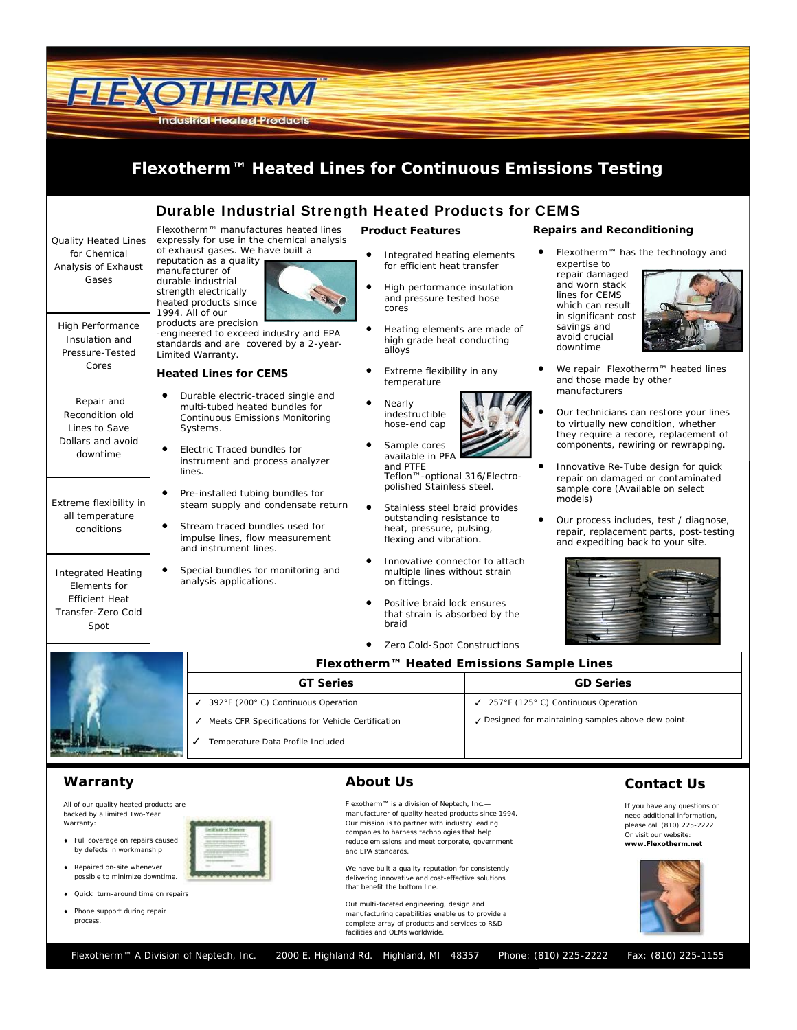

### **Warranty**

All of our quality heated products are backed by a limited Two-Year Warranty:

- Full coverage on repairs caused by defects in workmanship
- Repaired on-site whenever possible to minimize downtime.
- Quick turn-around time on repairs
- Phone support during repair process.

### **About Us**

Flexotherm™ is a division of Neptech, Inc. manufacturer of quality heated products since 1994. Our mission is to partner with industry leading companies to harness technologies that help reduce emissions and meet corporate, government and EPA standards.

We have built a quality reputation for consistently delivering innovative and cost-effective solutions that benefit the bottom line.

Out multi-faceted engineering, design and manufacturing capabilities enable us to provide a complete array of products and services to R&D facilities and OEMs worldwide.

## **Contact Us**

If you have any questions or need additional information, please call (810) 225-2222 Or visit our website: **www.Flexotherm.net**



Flexotherm™ A Division of Neptech, Inc. 2000 E. Highland Rd. Highland, MI 48357 Phone: (810) 225-2222 Fax: (810) 225-1155